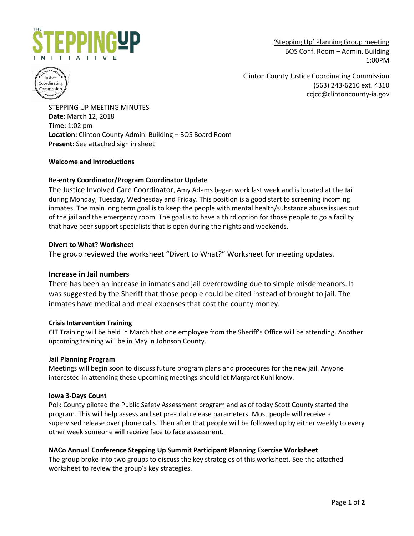

'Stepping Up' Planning Group meeting BOS Conf. Room – Admin. Building 1:00PM



Clinton County Justice Coordinating Commission (563) 243-6210 ext. 4310 ccjcc@clintoncounty-ia.gov

STEPPING UP MEETING MINUTES **Date:** March 12, 2018 **Time:** 1:02 pm **Location:** Clinton County Admin. Building – BOS Board Room **Present:** See attached sign in sheet

# **Welcome and Introductions**

# **Re-entry Coordinator/Program Coordinator Update**

The Justice Involved Care Coordinator, Amy Adams began work last week and is located at the Jail during Monday, Tuesday, Wednesday and Friday. This position is a good start to screening incoming inmates. The main long term goal is to keep the people with mental health/substance abuse issues out of the jail and the emergency room. The goal is to have a third option for those people to go a facility that have peer support specialists that is open during the nights and weekends.

### **Divert to What? Worksheet**

The group reviewed the worksheet "Divert to What?" Worksheet for meeting updates.

### **Increase in Jail numbers**

There has been an increase in inmates and jail overcrowding due to simple misdemeanors. It was suggested by the Sheriff that those people could be cited instead of brought to jail. The inmates have medical and meal expenses that cost the county money.

### **Crisis Intervention Training**

CIT Training will be held in March that one employee from the Sheriff's Office will be attending. Another upcoming training will be in May in Johnson County.

### **Jail Planning Program**

Meetings will begin soon to discuss future program plans and procedures for the new jail. Anyone interested in attending these upcoming meetings should let Margaret Kuhl know.

#### **Iowa 3-Days Count**

Polk County piloted the Public Safety Assessment program and as of today Scott County started the program. This will help assess and set pre-trial release parameters. Most people will receive a supervised release over phone calls. Then after that people will be followed up by either weekly to every other week someone will receive face to face assessment.

### **NACo Annual Conference Stepping Up Summit Participant Planning Exercise Worksheet**

The group broke into two groups to discuss the key strategies of this worksheet. See the attached worksheet to review the group's key strategies.